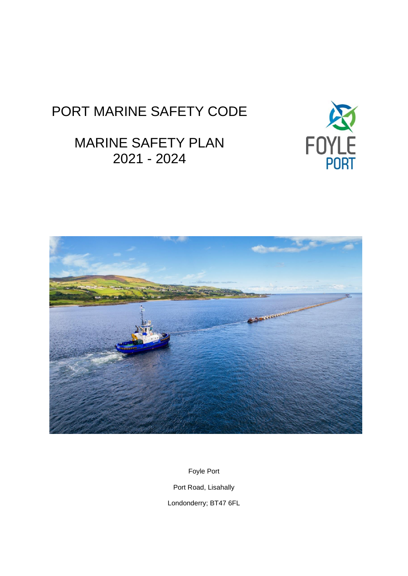# PORT MARINE SAFETY CODE

# MARINE SAFETY PLAN 2021 - 2024





Foyle Port Port Road, Lisahally

Londonderry; BT47 6FL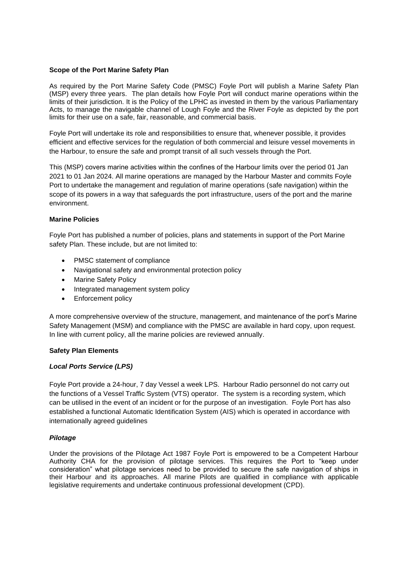### **Scope of the Port Marine Safety Plan**

As required by the Port Marine Safety Code (PMSC) Foyle Port will publish a Marine Safety Plan (MSP) every three years. The plan details how Foyle Port will conduct marine operations within the limits of their jurisdiction. It is the Policy of the LPHC as invested in them by the various Parliamentary Acts, to manage the navigable channel of Lough Foyle and the River Foyle as depicted by the port limits for their use on a safe, fair, reasonable, and commercial basis.

Foyle Port will undertake its role and responsibilities to ensure that, whenever possible, it provides efficient and effective services for the regulation of both commercial and leisure vessel movements in the Harbour, to ensure the safe and prompt transit of all such vessels through the Port.

This (MSP) covers marine activities within the confines of the Harbour limits over the period 01 Jan 2021 to 01 Jan 2024. All marine operations are managed by the Harbour Master and commits Foyle Port to undertake the management and regulation of marine operations (safe navigation) within the scope of its powers in a way that safeguards the port infrastructure, users of the port and the marine environment.

### **Marine Policies**

Foyle Port has published a number of policies, plans and statements in support of the Port Marine safety Plan. These include, but are not limited to:

- PMSC statement of compliance
- Navigational safety and environmental protection policy
- Marine Safety Policy
- Integrated management system policy
- Enforcement policy

A more comprehensive overview of the structure, management, and maintenance of the port's Marine Safety Management (MSM) and compliance with the PMSC are available in hard copy, upon request. In line with current policy, all the marine policies are reviewed annually.

#### **Safety Plan Elements**

#### *Local Ports Service (LPS)*

Foyle Port provide a 24-hour, 7 day Vessel a week LPS. Harbour Radio personnel do not carry out the functions of a Vessel Traffic System (VTS) operator. The system is a recording system, which can be utilised in the event of an incident or for the purpose of an investigation. Foyle Port has also established a functional Automatic Identification System (AIS) which is operated in accordance with internationally agreed guidelines

#### *Pilotage*

Under the provisions of the Pilotage Act 1987 Foyle Port is empowered to be a Competent Harbour Authority CHA for the provision of pilotage services. This requires the Port to "keep under consideration" what pilotage services need to be provided to secure the safe navigation of ships in their Harbour and its approaches. All marine Pilots are qualified in compliance with applicable legislative requirements and undertake continuous professional development (CPD).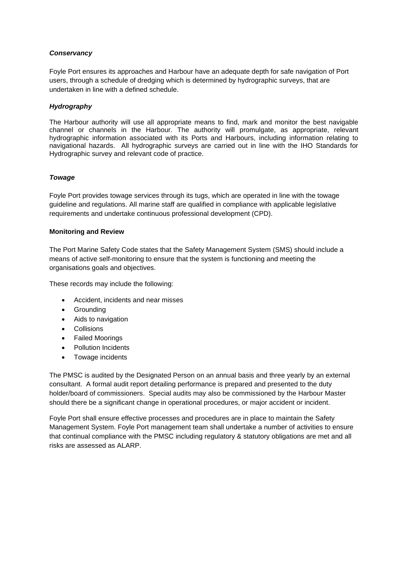# *Conservancy*

Foyle Port ensures its approaches and Harbour have an adequate depth for safe navigation of Port users, through a schedule of dredging which is determined by hydrographic surveys, that are undertaken in line with a defined schedule.

# *Hydrography*

The Harbour authority will use all appropriate means to find, mark and monitor the best navigable channel or channels in the Harbour. The authority will promulgate, as appropriate, relevant hydrographic information associated with its Ports and Harbours, including information relating to navigational hazards. All hydrographic surveys are carried out in line with the IHO Standards for Hydrographic survey and relevant code of practice.

# *Towage*

Foyle Port provides towage services through its tugs, which are operated in line with the towage guideline and regulations. All marine staff are qualified in compliance with applicable legislative requirements and undertake continuous professional development (CPD).

# **Monitoring and Review**

The Port Marine Safety Code states that the Safety Management System (SMS) should include a means of active self-monitoring to ensure that the system is functioning and meeting the organisations goals and objectives.

These records may include the following:

- Accident, incidents and near misses
- Grounding
- Aids to navigation
- Collisions
- Failed Moorings
- Pollution Incidents
- Towage incidents

The PMSC is audited by the Designated Person on an annual basis and three yearly by an external consultant. A formal audit report detailing performance is prepared and presented to the duty holder/board of commissioners. Special audits may also be commissioned by the Harbour Master should there be a significant change in operational procedures, or major accident or incident.

Foyle Port shall ensure effective processes and procedures are in place to maintain the Safety Management System. Foyle Port management team shall undertake a number of activities to ensure that continual compliance with the PMSC including regulatory & statutory obligations are met and all risks are assessed as ALARP.